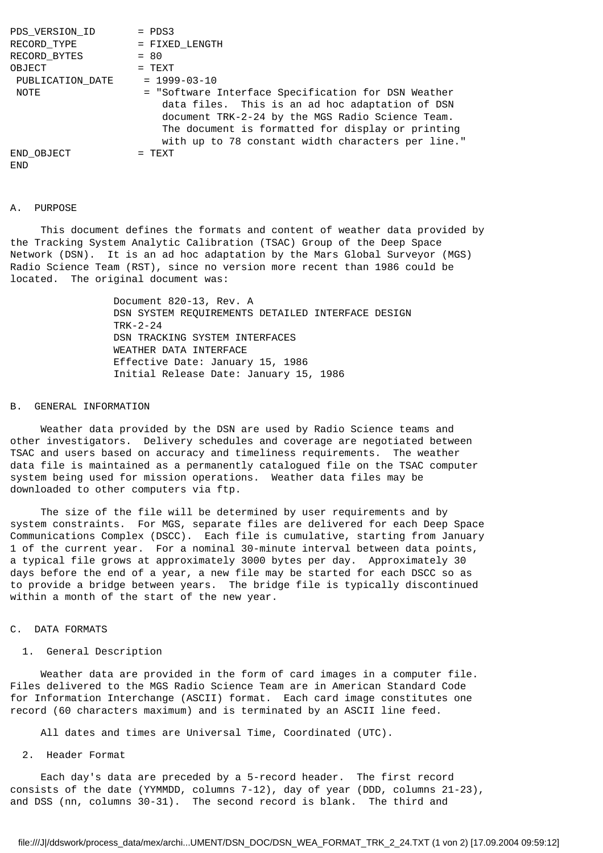| PDS VERSION ID   | $=$ PDS3                                                                                                                                                                                                                                                              |
|------------------|-----------------------------------------------------------------------------------------------------------------------------------------------------------------------------------------------------------------------------------------------------------------------|
| RECORD TYPE      | = FIXED LENGTH                                                                                                                                                                                                                                                        |
| RECORD BYTES     | $= 80$                                                                                                                                                                                                                                                                |
| OBJECT           | $=$ TEXT                                                                                                                                                                                                                                                              |
| PUBLICATION DATE | $= 1999 - 03 - 10$                                                                                                                                                                                                                                                    |
| NOTE             | = "Software Interface Specification for DSN Weather<br>data files. This is an ad hoc adaptation of DSN<br>document TRK-2-24 by the MGS Radio Science Team.<br>The document is formatted for display or printing<br>with up to 78 constant width characters per line." |
| END OBJECT       | $=$ TEXT                                                                                                                                                                                                                                                              |
| END.             |                                                                                                                                                                                                                                                                       |

#### A. PURPOSE

 This document defines the formats and content of weather data provided by the Tracking System Analytic Calibration (TSAC) Group of the Deep Space Network (DSN). It is an ad hoc adaptation by the Mars Global Surveyor (MGS) Radio Science Team (RST), since no version more recent than 1986 could be located. The original document was:

> Document 820-13, Rev. A DSN SYSTEM REQUIREMENTS DETAILED INTERFACE DESIGN TRK-2-24 DSN TRACKING SYSTEM INTERFACES WEATHER DATA INTERFACE Effective Date: January 15, 1986 Initial Release Date: January 15, 1986

# B. GENERAL INFORMATION

 Weather data provided by the DSN are used by Radio Science teams and other investigators. Delivery schedules and coverage are negotiated between TSAC and users based on accuracy and timeliness requirements. The weather data file is maintained as a permanently catalogued file on the TSAC computer system being used for mission operations. Weather data files may be downloaded to other computers via ftp.

 The size of the file will be determined by user requirements and by system constraints. For MGS, separate files are delivered for each Deep Space Communications Complex (DSCC). Each file is cumulative, starting from January 1 of the current year. For a nominal 30-minute interval between data points, a typical file grows at approximately 3000 bytes per day. Approximately 30 days before the end of a year, a new file may be started for each DSCC so as to provide a bridge between years. The bridge file is typically discontinued within a month of the start of the new year.

# C. DATA FORMATS

## 1. General Description

 Weather data are provided in the form of card images in a computer file. Files delivered to the MGS Radio Science Team are in American Standard Code for Information Interchange (ASCII) format. Each card image constitutes one record (60 characters maximum) and is terminated by an ASCII line feed.

All dates and times are Universal Time, Coordinated (UTC).

## 2. Header Format

 Each day's data are preceded by a 5-record header. The first record consists of the date (YYMMDD, columns 7-12), day of year (DDD, columns 21-23), and DSS (nn, columns 30-31). The second record is blank. The third and